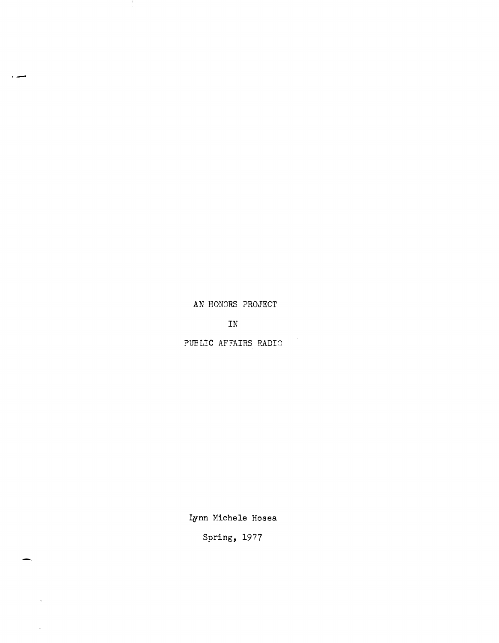AN HONORS PROJECT

,-

-

 $\ddot{\phantom{a}}$ 

 $\sim$ 

IN

PUBLIC AFFAIRS RADIO

Lynn Michele Hosea

Spring, 1977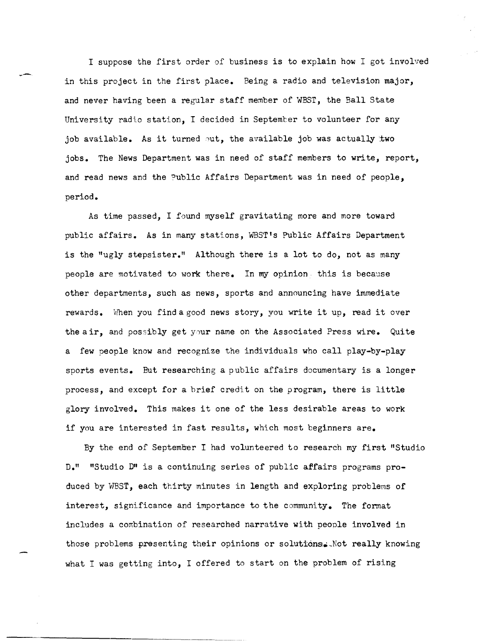I suppose the first order of business is to explain how I got involved in this project in the first place. Being a radio and television major, and never having been a regular staff member of WEST, the Ball State University radio station. I decided in September to volunteer for any job available. As it turned out, the available job was actually two jobs. The News Department was in need of staff members to write, report, and read news and the Public Affairs Department was in need of people, period.

~-

As time passed, I found myself gravitating more and more toward public affairs. As in many stations, WEST's Public Affairs Department is the "ugly stepsister." Although there is a lot to do, not as many people are motivated to work there. In my opinion this is because other departments, such as news, sports and announcing have immediate rewards. When you find a good news story, you write it up, read it over the air, and possibly get your name on the Associated Press wire. Quite a few people know and recognize the individuals who call play-by-play sports events. But researching a public affairs documentary is a longer process, and except for a brief credit on the program, there is little glory involved. This makes it one of the less desirable areas to work if you are interested in fast results, which most beginners are.

By the end of September I had volunteered to research my first "Studio D." "Studio D" is a continuing series of public affairs programs produced by WBST, each thirty minutes in length and exploring problems of interest, significance and importance to the community. The format includes a combination of researched narrative with people involved in those problems presenting their opinions or solutions. Not really knowing what I was getting into, I offered to start on the problem of rising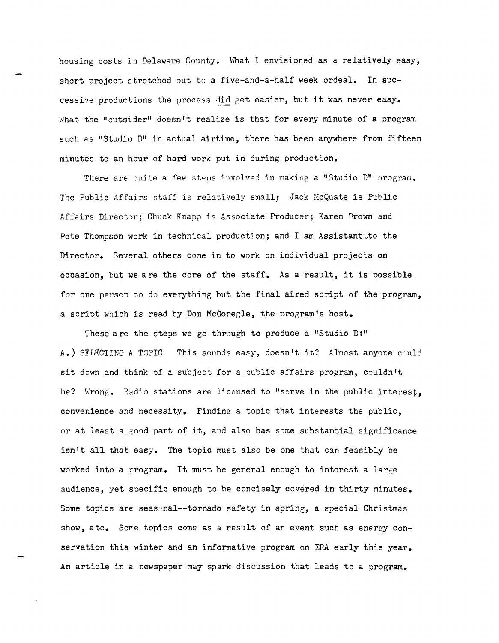housing costs in Delaware County. What I envisioned as a relatively easy, short project stretched out to a five-and-a-half week ordeal. In successive productions the process did get easier, but it was never easy. What the "outsider" doesn't realize is that for every minute of a program such as "Studio D" in actual airtime, there has been anywhere from fifteen minutes to an hour of hard work put in during production.

There are cuite a few stens involved in making a "Studio D" orogram. The Public Affairs staff is relatively small; Jack HcQuate is Public Affairs Director; Chuck Knapp is Associate Producer; Karen Brown and Pete Thompson work in technical production; and I am Assistant.to the Director. Several others come in to work on individual projects on occasion, but we a re the core of the staff. As a result, it is possible for one person to do everything but the final aired script of the program, a script which is read by Don McGonegle, the program's host.

These a re the steps we go through to produce a "Studio  $D$ :" A.) SELECTING A TOPIC This sounds easy, doesn't it? Almost anyone could sit down and think of a subject for a public affairs program, couldn't he? Wrong. Radio stations are licensed to "serve in the public interest. convenience and necessity. Finding a topic that interests the public, or at least a good part of it, and also has some substantial significance isn't all that easy. The topic must also be one that can feasibly be worked into a program. It must be general enough to interest a large audience, yet specific enough to be concisely covered in thirty minutes. Some topics are seas nal--tornado safety in spring, a special Christmas show,  $etc.$  Some topics come as a result of an event such as energy  $con$ servation this winter and an informative program on ERA early this year. An article in a newspaper may spark discussion that leads to a program.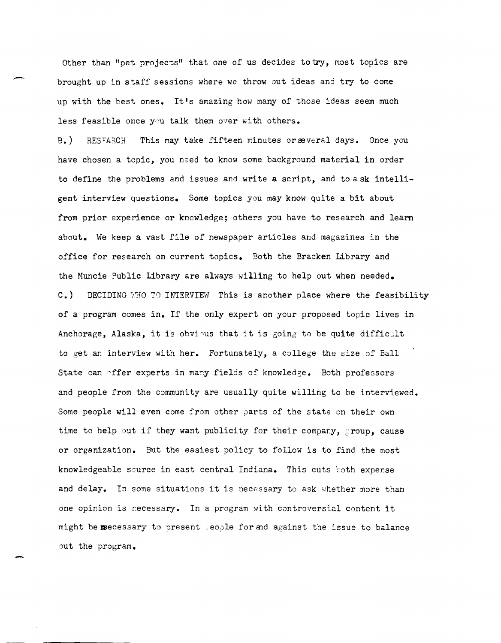Other than "pet projects" that one of us decides to try, most topics are brought up in staff sessions where we throw out ideas and try to come up with the best ones. It's amazing how many of those ideas seem much less feasible once you talk them over with others.

B.) RESFARCH This may take fifteen minutes or several days. Once you have chosen a topic, you need to know some background material in order to define the problems and issues and write a script, and to a sk intelligent interview questions. Some topics you may know quite a bit about from prior experience or knowledge; others you have to research and learn about. We keep a vast file of newspaper articles and magazines in the office for research on current topics. Both the Bracken Library and the Muncie Public Library are always willing to help out when needed. C.) DECIDING WHO TO INTERVIEW This is another place where the feasibility of a program comes in. If the only expert on your proposed topic lives in Anchorage, Alaska, it is obvious that it is going to be quite difficult to get an interview with her. Fortunately, a college the size of Ball State can offer experts in many fields of knowledge. Both professors and people from the community are usually quite willing to be interviewed. Some people will even come from other parts of the state on their own time to help out if they want publicity for their company, group, cause or organization. But the easiest policy to follow is to find the most knowledgeable source in east central Indiana. This cuts both expense and delay. In some situations it is necessary to ask whether more than one opinion is recessary. In a program with controversial content it might be msecessary to present people for and against the issue to balance out the program.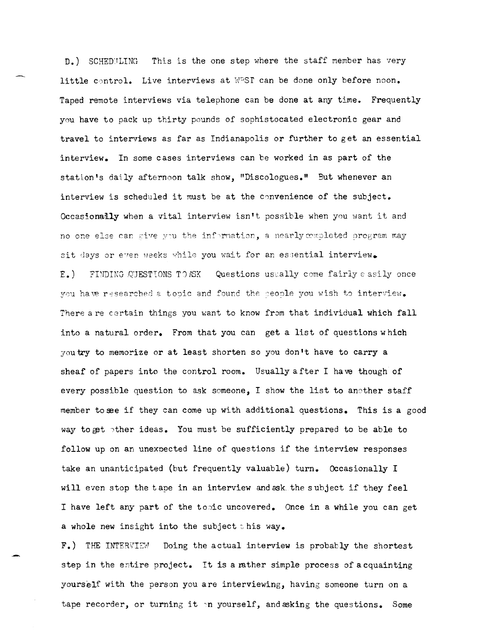D.) SCHEDULING This is the one step where the staff member has very little control. Live interviews at WPST can be done only before noon. Taped remote interviews via telephone can be done at any time. Frequently you have to pack up thirty pounds of sophistocated electronic gear and travel to interviews as far as Indianapolis or further to get an essential interview. In some cases interviews can be worked in as part of the station's daily afternoon talk show, "Discologues." But whenever an interview is scheduled it must be at the convenience of the subject. Occasionally when a vital interview isn't possible when you want it and no one else can *cive* you the information, a nearly completed program may sit days or even weeks while you wait for an essential interview. E.) FINDING QUESTIONS TO ASK Questions uscally come fairly easily once you have researched a topic and found the seople you wish to interview. There are certain things you want to know from that individual which fall into a natural order. From that you can get a list of questions which you try to memorize or at least shorten so you don **It** have to carry a sheaf of papers into the control room. Usually after I have though of every possible question to ask someone, I show the list to another staff member to see if they can come up with additional questions. This is a good way to get other ideas. You must be sufficiently prepared to be able to follow up on an unexpected line of questions if the interview responses take an unanticipated (but frequently valuable) turn. Occasionally I will even stop the tape in an interview and ssk the subject if they feel I have left any part of the topic uncovered. Once in a while you can get a whole new insight into the subject this way.

F.) THE INTERVI2d Doing the actual interview is probably the shortest step in the entire project. It is a rather simple process of acquainting yourself with the person you are interviewing, having someone turn on a tape recorder, or turning it in yourself, and asking the questions. Some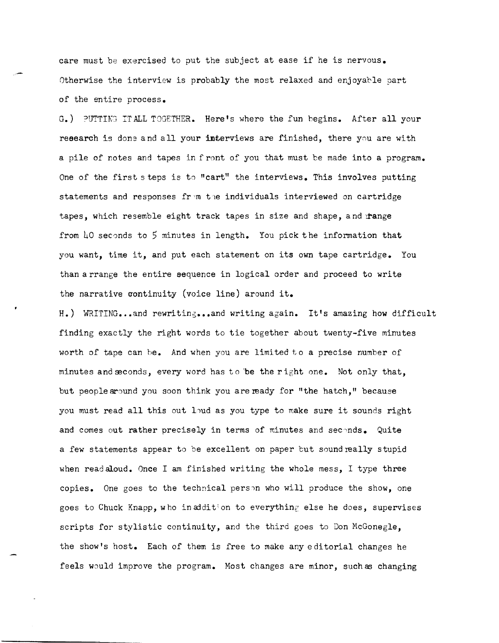care must be exercised to put the subject at ease if he is nervous. Otherwise the interview is probably the most relaxed and enjoyable part of the entire process.

G.) PUTTING ITALL TOGETHER. Here's where the fun begins. After all your research is done and all your interviews are finished, there you are with a pile of notes and tapes in front of you that must be made into a program. One of the first steps is *to* "cart" the interviews. This involves putting statements and responses from the individuals interviewed on cartridge tapes, which resemble eight track tapes in size and shape, and range from  $l_0$  seconds to 5 minutes in length. You pick the information that you want, time it, and put each statement on its own tape cartridge. You than arrange the entire sequence in logical order and proceed to write the narrative continuity (voice line) around it.

H.) WRITING...and rewriting...and writing again. It's amazing how difficult finding exactly the right words to tie together about twenty-five minutes worth of tape can be. And when you are limited to a precise number of minutes and seconds, every word has to be the right one. Not only that, but people around you soon think you are ready for "the hatch," because you must read all this out loud as you type to make sure it sounds right and comes out rather precisely in terms of minutes and seconds. Quite a few statements appear to be excellent on paper but sound really stupid when read aloud. Once I am finished writing the whole mess, I type three copies. One goes to the technical person who will produce the show, one goes to Chuck Knapp, who in addition to everything else he does, supervises scripts for stylistic continuity, and the third goes to Don McGonegle, the show's host. Each of them is free to make any editorial changes he feels would improve the program. Most changes are minor, such as changing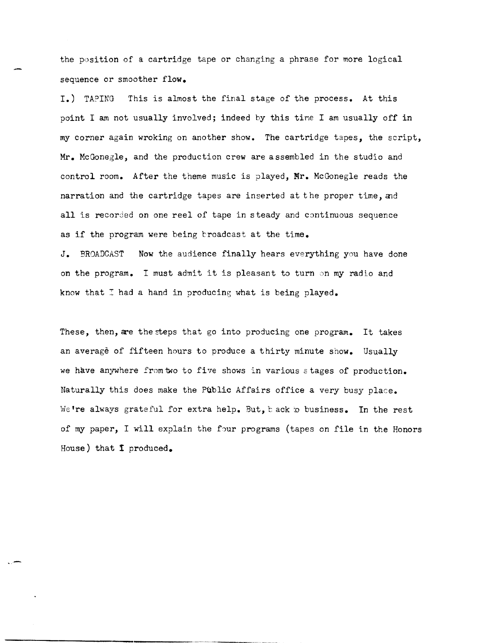the position of a cartridge tape or changing a phrase for more logical sequence or smoother flow.

I.) TAPING This is almost the final stage of the process. At this point I am not usually involved; indeed by this time I am usually off in my corner again wroking on another show. The cartridge tapes, the script, Mr. McGonegle, and the production crew are assembled in the studio and control room. After the theme music is played, Mr. McGonegle reads the narration and the cartridge tapes are inserted at the proper time, and all is recorded on one reel of tape in steady and continuous sequence as if the program were being troadcast at the time.

J. BROADCAST Now the audience finally hears everything you have done on the program. I must admit it is pleasant to turn on my radio and know that I had a hand in producing what is being played.

These, then, are the steps that go into producing one program. It takes an average of fifteen hours to produce a thirty minute show. Usually we have anywhere from two to five shows in various stages of production. Naturally this does make the Public Affairs office a very busy place. We're always grateful for extra help. But, back to business. In the rest of my paper, I will explain the four programs (tapes on file in the Honors House) that I produced.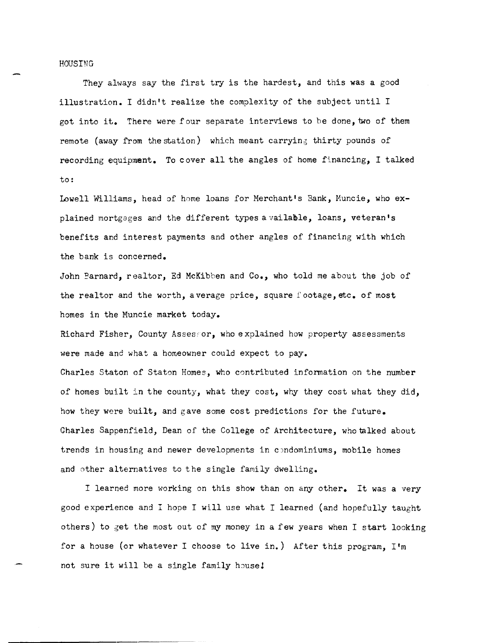## HOUSING

They always say the first try is the hardest, and this was a good illustration. I didn't realize the complexity of the subject until I got into it. There were four separate interviews to be done, two of them remote (away from the station) which meant carrying thirty pounds of recording equipment. To cover all the angles of home financing, I talked to:

Lowell Williams, head of home loans for Merchant's Bank, Huncie, who explained mortgages and the different types a vailable, loans, veteran's benefits and interest payments and other angles of financing with which the bank is concerned.

John Barnard, realtor, Ed McKibben and Co., who told me about the job of the realtor and the worth, average price, square footage, etc. of most homes in the Muncie market today.

Richard Fisher, County Assessor, who explained how property assessments were made and what a homeowner could expect to pay.

Charles Staton of Staton Homes, who contributed information on the number of homes built in the county, what they cost, why they cost what they did, how they were built, and gave some cost predictions for the future. Charles Sappenfield, Dean of the College of Architecture, who talked about trends in housing and newer developments in condominiums, mobile homes and other alternatives to the single family dwelling.

I learned more working on this show than on any other. It was a very good experience and I hope I will use what I learned (and hopefully taught others) to get the most out of my money in a few years when I start looking for a house (or whatever I choose to live in.) After this program, I'm not sure it will be a single family house!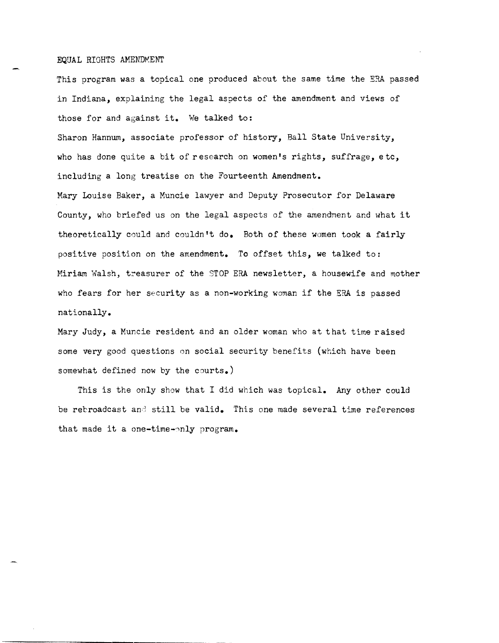## EQUAL RIGHTS AMENDMENT

This program was a topical one produced about the same time the ERA passed in Indiana, explaining the legal aspects of the amendment and views of those for and against it. We talked to:

Sharon Hannum, associate professor of history, Ball State University, who has done quite a bit of research on women's rights, suffrage, etc, including a long treatise on the Fourteenth Amendment.

Mary Louise Baker, a Muncie lawyer and Deputy Prosecutor for Delaware County, who briefed us on the legal aspects of the amendment and what it theoretically could and couldn't do. Both of these women took a fairly positive position on the amendment. To offset this, we talked to: Miriam Walsh, treasurer of the STOP ERA newsletter, a housewife and mother who fears for her security as a non-working woman if the ERA is passed nationally.

Mary Judy, a Muncie resident and an older woman who at that time raised some very good questions on social security benefits (which have been somewhat defined now by the courts.)

This is the only show that I did which was topical. Any other could be rebroadcast and still be valid. This one made several time references that made it a one-time-only program.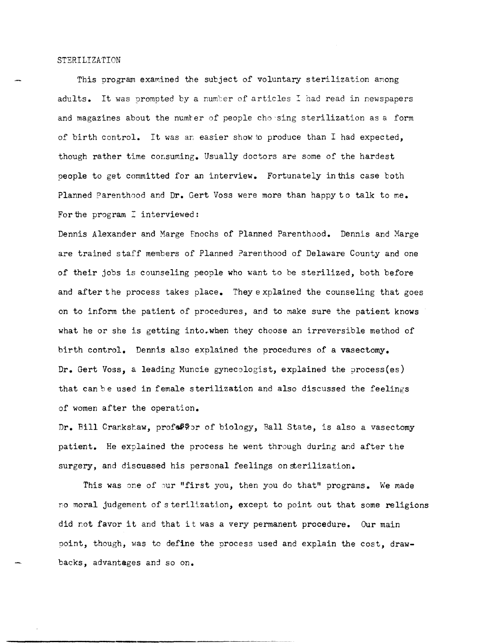## STERILIZATION

This program examined the subject of voluntary sterilization among adults. It was prompted by a number of articles I had read in newspapers and magazines about the numter of people chosing sterilization as a form of birth control. It was ar; easier show to produce than I had expected, though rather time consuming. Usually doctors are some of the hardest people to get committed for an interview. Fortunately in this case both Planned Parenthood and Dr. Gert Voss were more than happy to talk to me. For the program  $I$  interviewed:

Dennis Alexander and Marge Enochs of Planned Parenthood. Dennis and Marge are trained staff members of Planned Parenthood of Delaware County and one of their jobs is counseling people who want to be sterilized, both before and after the process takes place. They explained the counseling that goes on to inform the patient of procedures, and to make sure the patient knows what he or she is getting into.when they choose an irreversible method of birth control. Dennis also explained the procedures of a vasectomy. Dr. Gert Voss, a leading Muncie gynecologist, explained the process(es) that can be used in female sterilization and also discussed the feelings of women after the operation.

Dr. Bill Crankshaw, profe@?or of biology, Ball State, is also a vasectomy patient. He explained the process he went through during and after the surgery, and discussed his personal feelings on sterilization.

This was one of our "first you, then you do that" programs. We made no moral judgement of sterilization, except to point out that some religions did not favor it and that it was a very permanent procedure. Our main point, though, was to define the process used and explain the cost, drawbacks, advantages and so on.

-----------------------